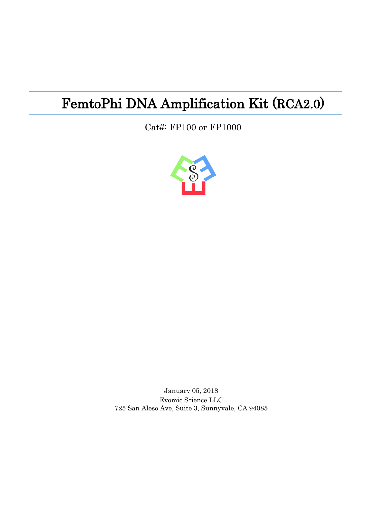# FemtoPhi DNA Amplification Kit (RCA2.0)

·

Cat#: FP100 or FP1000



January 05, 2018 Evomic Science LLC 725 San Aleso Ave, Suite 3, Sunnyvale, CA 94085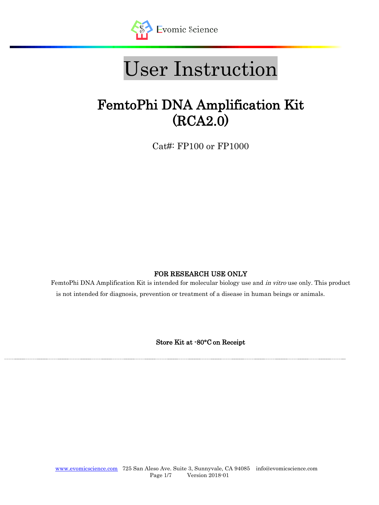

# User Instruction

# FemtoPhi DNA Amplification Kit (RCA2.0)

Cat#: FP100 or FP1000

## FOR RESEARCH USE ONLY

FemtoPhi DNA Amplification Kit is intended for molecular biology use and *in vitro* use only. This product is not intended for diagnosis, prevention or treatment of a disease in human beings or animals.

Store Kit at -80°C on Receipt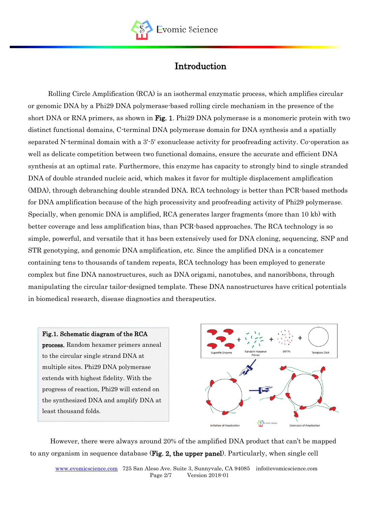

# Introduction

Rolling Circle Amplification (RCA) is an isothermal enzymatic process, which amplifies circular or genomic DNA by a Phi29 DNA polymerase-based rolling circle mechanism in the presence of the short DNA or RNA primers, as shown in Fig. 1. Phi29 DNA polymerase is a monomeric protein with two distinct functional domains, C-terminal DNA polymerase domain for DNA synthesis and a spatially separated N-terminal domain with a 3'-5' [exonuclease](https://en.wikipedia.org/wiki/Exonuclease) activity for proofreading activity. Co-operation as well as delicate competition between two functional domains, ensure the accurate and efficient DNA synthesis at an optimal rate. Furthermore, this enzyme has capacity to strongly bind to single stranded DNA of double stranded nucleic acid, which makes it favor for [multiple displacement amplification](https://en.wikipedia.org/wiki/Multiple_Displacement_Amplification) (MDA), through debranching double stranded DNA. RCA technology is better than PCR-based methods for DNA amplification because of the high processivity and proofreading activity of Phi29 polymerase. Specially, when genomic DNA is amplified, RCA generates larger fragments (more than 10 kb) with better coverage and less amplification bias, than PCR-based approaches. The RCA technology is so simple, powerful, and versatile that it has been extensively used for DNA cloning, sequencing, SNP and STR genotyping, and genomic DNA amplification, etc. Since the amplified DNA is a concatemer containing tens to thousands of tandem repeats, RCA technology has been employed to generate complex but fine DNA nanostructures, such as DNA origami, nanotubes, and nanoribbons, through manipulating the circular tailor-designed template. These DNA nanostructures have critical potentials in biomedical research, disease diagnostics and therapeutics.

#### Fig.1. Schematic diagram of the RCA

process. Random hexamer primers anneal to the circular single strand DNA at multiple sites. Phi29 DNA polymerase extends with highest fidelity. With the progress of reaction, Phi29 will extend on the synthesized DNA and amplify DNA at least thousand folds.



However, there were always around 20% of the amplified DNA product that can't be mapped to any organism in sequence database (Fig. 2, the upper panel). Particularly, when single cell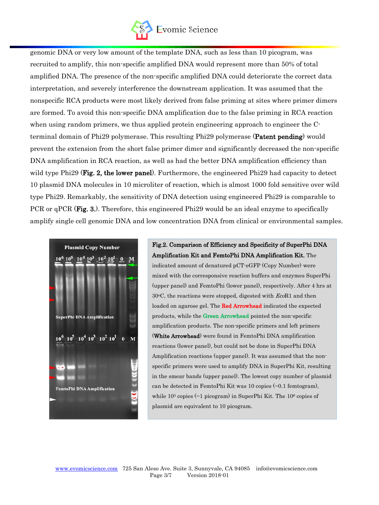

genomic DNA or very low amount of the template DNA, such as less than 10 picogram, was recruited to amplify, this non-specific amplified DNA would represent more than 50% of total amplified DNA. The presence of the non-specific amplified DNA could deteriorate the correct data interpretation, and severely interference the downstream application. It was assumed that the nonspecific RCA products were most likely derived from false priming at sites where primer dimers are formed. To avoid this non-specific DNA amplification due to the false priming in RCA reaction when using random primers, we thus applied protein engineering approach to engineer the Cterminal domain of Phi29 polymerase. This resulting Phi29 polymerase (Patent pending) would prevent the extension from the short false primer dimer and significantly decreased the non-specific DNA amplification in RCA reaction, as well as had the better DNA amplification efficiency than wild type Phi29 (Fig. 2, the lower panel). Furthermore, the engineered Phi29 had capacity to detect 10 plasmid DNA molecules in 10 microliter of reaction, which is almost 1000 fold sensitive over wild type Phi29. Remarkably, the sensitivity of DNA detection using engineered Phi29 is comparable to PCR or qPCR (Fig. 3.). Therefore, this engineered Phi29 would be an ideal enzyme to specifically amplify single cell genomic DNA and low concentration DNA from clinical or environmental samples.



Fig.2. Comparison of Efficiency and Specificity of SuperPhi DNA Amplification Kit and FemtoPhi DNA Amplification Kit. The indicated amount of denatured pCT-eGFP (Copy Number) were mixed with the corresponsive reaction buffers and enzymes SuperPhi (upper panel) and FemtoPhi (lower panel), respectively. After 4 hrs at  $30\degree$ C, the reactions were stopped, digested with  $EcoR1$  and then loaded on agarose gel. The Red Arrowhead indicated the expected products, while the Green Arrowhead pointed the non-specific amplification products. The non-specific primers and left primers (White Arrowhead) were found in FemtoPhi DNA amplification reactions (lower panel), but could not be done in SuperPhi DNA Amplification reactions (upper panel). It was assumed that the nonspecific primers were used to amplify DNA in SuperPhi Kit, resulting in the smear bands (upper panel). The lowest copy number of plasmid can be detected in FemtoPhi Kit was 10 copies (~0.1 femtogram), while 10<sup>5</sup> copies (~1 picogram) in SuperPhi Kit. The 10<sup>6</sup> copies of plasmid are equivalent to 10 picogram.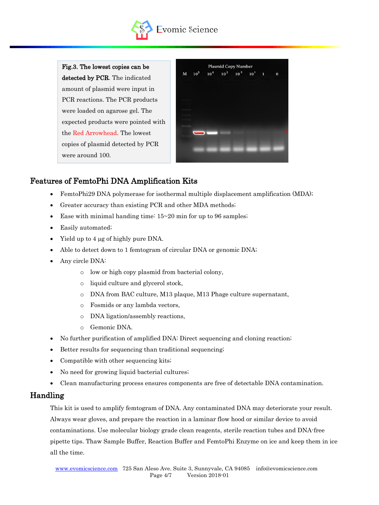

Fig.3. The lowest copies can be detected by PCR. The indicated amount of plasmid were input in PCR reactions. The PCR products were loaded on agarose gel. The expected products were pointed with the Red Arrowhead. The lowest copies of plasmid detected by PCR were around 100.

|            |  | <b>Plasmid Copy Number</b>    |  |          |
|------------|--|-------------------------------|--|----------|
| $M = 10^5$ |  | $10^4$ $10^3$ $10^2$ $10^1$ 1 |  | $\bf{0}$ |
|            |  |                               |  |          |
|            |  |                               |  |          |
|            |  |                               |  |          |
|            |  |                               |  |          |
|            |  |                               |  |          |
|            |  |                               |  |          |
|            |  |                               |  |          |
|            |  |                               |  |          |

# Features of FemtoPhi DNA Amplification Kits

- FemtoPhi29 DNA polymerase for isothermal multiple displacement amplification (MDA);
- Greater accuracy than existing PCR and other MDA methods;
- Ease with minimal handing time:  $15~20$  min for up to 96 samples;
- Easily automated;
- Yield up to 4  $\mu$ g of highly pure DNA.
- Able to detect down to 1 femtogram of circular DNA or genomic DNA;
- Any circle DNA:
	- o low or high copy plasmid from bacterial colony,
	- o liquid culture and glycerol stock,
	- o DNA from BAC culture, M13 plaque, M13 Phage culture supernatant,
	- o Fosmids or any lambda vectors,
	- o DNA ligation/assembly reactions,
	- o Gemonic DNA.
- No further purification of amplified DNA: Direct sequencing and cloning reaction;
- Better results for sequencing than traditional sequencing;
- Compatible with other sequencing kits;
- No need for growing liquid bacterial cultures;
- Clean manufacturing process ensures components are free of detectable DNA contamination.

#### Handling

This kit is used to amplify femtogram of DNA. Any contaminated DNA may deteriorate your result. Always wear gloves, and prepare the reaction in a laminar flow hood or similar device to avoid contaminations. Use molecular biology grade clean reagents, sterile reaction tubes and DNA-free pipette tips. Thaw Sample Buffer, Reaction Buffer and FemtoPhi Enzyme on ice and keep them in ice all the time.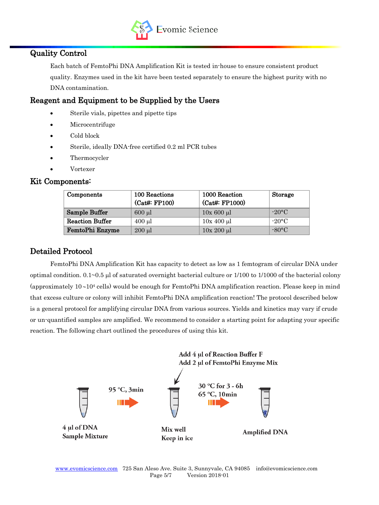

# Quality Control

Each batch of FemtoPhi DNA Amplification Kit is tested in-house to ensure consistent product quality. Enzymes used in the kit have been tested separately to ensure the highest purity with no DNA contamination.

# Reagent and Equipment to be Supplied by the Users

- Sterile vials, pipettes and pipette tips
- Microcentrifuge
- Cold block
- Sterile, ideally DNA-free certified 0.2 ml PCR tubes
- Thermocycler
- Vortexer

#### Kit Components:

| Components             | 100 Reactions<br>(Cat#: FP100) | 1000 Reaction<br>(Cat#: FP1000) | <b>Storage</b>  |
|------------------------|--------------------------------|---------------------------------|-----------------|
| Sample Buffer          | $600$ $\mu$                    | $10x\ 600\ \mu l$               | $-20$ °C        |
| <b>Reaction Buffer</b> | $400$ µl                       | $10x 400 \mu l$                 | $-20\degree C$  |
| FemtoPhi Enzyme        | $200 \mu l$                    | $10x 200 \mu l$                 | $-80^{\circ}$ C |

# Detailed Protocol

FemtoPhi DNA Amplification Kit has capacity to detect as low as 1 femtogram of circular DNA under optimal condition.  $0.1~0.5~\mu$  of saturated overnight bacterial culture or  $1/100~\text{to}~1/1000~\text{of}$  the bacterial colony (approximately  $10-10^4$  cells) would be enough for FemtoPhi DNA amplification reaction. Please keep in mind that excess culture or colony will inhibit FemtoPhi DNA amplification reaction! The protocol described below is a general protocol for amplifying circular DNA from various sources. Yields and kinetics may vary if crude or un-quantified samples are amplified. We recommend to consider a starting point for adapting your specific reaction. The following chart outlined the procedures of using this kit.

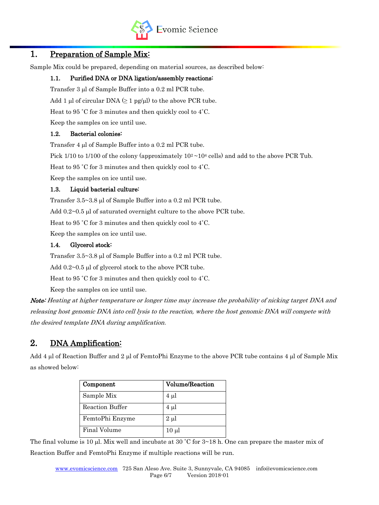

# 1. Preparation of Sample Mix:

Sample Mix could be prepared, depending on material sources, as described below:

#### 1.1. Purified DNA or DNA ligation/assembly reactions:

Transfer 3 ul of Sample Buffer into a 0.2 ml PCR tube.

Add 1 µl of circular DNA  $(≥ 1$  pg/µl) to the above PCR tube.

Heat to 95 ˚C for 3 minutes and then quickly cool to 4˚C.

Keep the samples on ice until use.

#### 1.2. Bacterial colonies:

Transfer 4 ul of Sample Buffer into a 0.2 ml PCR tube.

Pick 1/10 to 1/100 of the colony (approximately  $10^2 \sim 10^4$  cells) and add to the above PCR Tub.

Heat to 95 ˚C for 3 minutes and then quickly cool to 4˚C.

Keep the samples on ice until use.

#### 1.3. Liquid bacterial culture:

Transfer  $3.5 \sim 3.8$  µl of Sample Buffer into a 0.2 ml PCR tube.

Add  $0.2\negthinspace\sim0.5$  µ of saturated overnight culture to the above PCR tube.

Heat to 95 ˚C for 3 minutes and then quickly cool to 4˚C.

Keep the samples on ice until use.

#### 1.4. Glycerol stock:

Transfer  $3.5 \sim 3.8$  µl of Sample Buffer into a 0.2 ml PCR tube.

Add  $0.2~0.5$  µl of glycerol stock to the above PCR tube.

Heat to 95 ˚C for 3 minutes and then quickly cool to 4˚C.

Keep the samples on ice until use.

Note: Heating at higher temperature or longer time may increase the probability of nicking target DNA and releasing host genomic DNA into cell lysis to the reaction, where the host genomic DNA will compete with the desired template DNA during amplification.

# 2. DNA Amplification:

Add 4 µl of Reaction Buffer and 2 µl of FemtoPhi Enzyme to the above PCR tube contains 4 µl of Sample Mix as showed below:

| Component              | <b>Volume/Reaction</b> |
|------------------------|------------------------|
| Sample Mix             | $4 \mu l$              |
| <b>Reaction Buffer</b> | $4 \mu l$              |
| FemtoPhi Enzyme        | $2 \mu l$              |
| Final Volume           | $10 \mu l$             |

The final volume is 10 µl. Mix well and incubate at 30 °C for  $3 \sim 18$  h. One can prepare the master mix of Reaction Buffer and FemtoPhi Enzyme if multiple reactions will be run.